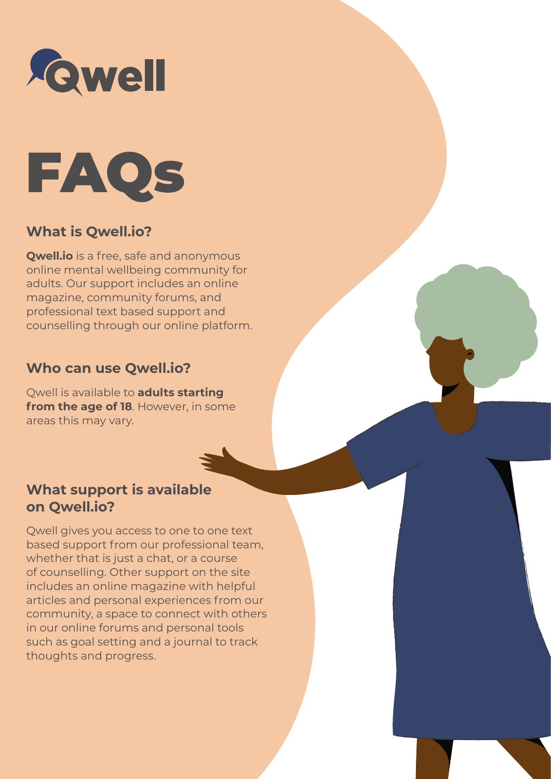



## **What is Qwell.io?**

**Qwell.io** is a free, safe and anonymous online mental wellbeing community for adults. Our support includes an online magazine, community forums, and professional text based support and counselling through our online platform.

#### **Who can use Qwell.io?**

Qwell is available to **adults starting from the age of 18**. However, in some areas this may vary.

#### **What support is available on Qwell.io?**

Qwell gives you access to one to one text based support from our professional team, whether that is just a chat, or a course of counselling. Other support on the site includes an online magazine with helpful articles and personal experiences from our community, a space to connect with others in our online forums and personal tools such as goal setting and a journal to track thoughts and progress.